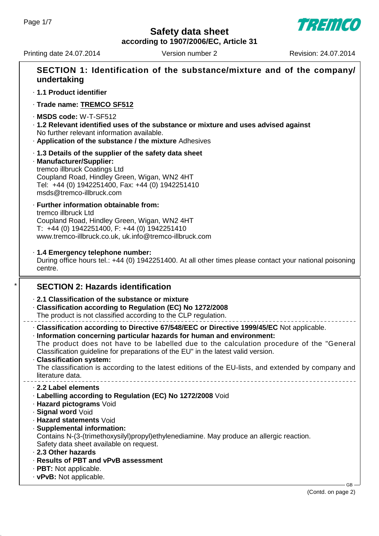**TREMCO** 

**according to 1907/2006/EC, Article 31**

Printing date 24.07.2014 Version number 2 Revision: 24.07.2014

| SECTION 1: Identification of the substance/mixture and of the company/<br>undertaking<br>· 1.1 Product identifier<br>· Trade name: TREMCO SF512<br>MSDS code: W-T-SF512<br>. 1.2 Relevant identified uses of the substance or mixture and uses advised against<br>No further relevant information available.<br>. Application of the substance / the mixture Adhesives<br>1.3 Details of the supplier of the safety data sheet<br>· Manufacturer/Supplier:<br>tremco illbruck Coatings Ltd<br>Coupland Road, Hindley Green, Wigan, WN2 4HT<br>Tel: +44 (0) 1942251400, Fax: +44 (0) 1942251410<br>msds@tremco-illbruck.com<br>· Further information obtainable from:<br>tremco illbruck Ltd<br>Coupland Road, Hindley Green, Wigan, WN2 4HT<br>T: +44 (0) 1942251400, F: +44 (0) 1942251410<br>www.tremco-illbruck.co.uk, uk.info@tremco-illbruck.com<br>· 1.4 Emergency telephone number:<br>During office hours tel.: +44 (0) 1942251400. At all other times please contact your national poisoning<br>centre.<br><b>SECTION 2: Hazards identification</b><br>2.1 Classification of the substance or mixture<br>Classification according to Regulation (EC) No 1272/2008<br>The product is not classified according to the CLP regulation.<br>· Classification according to Directive 67/548/EEC or Directive 1999/45/EC Not applicable.<br>· Information concerning particular hazards for human and environment:<br>The product does not have to be labelled due to the calculation procedure of the "General<br>Classification guideline for preparations of the EU" in the latest valid version.<br>· Classification system:<br>The classification is according to the latest editions of the EU-lists, and extended by company and<br>literature data.<br>2.2 Label elements<br>· Labelling according to Regulation (EC) No 1272/2008 Void |     |
|---------------------------------------------------------------------------------------------------------------------------------------------------------------------------------------------------------------------------------------------------------------------------------------------------------------------------------------------------------------------------------------------------------------------------------------------------------------------------------------------------------------------------------------------------------------------------------------------------------------------------------------------------------------------------------------------------------------------------------------------------------------------------------------------------------------------------------------------------------------------------------------------------------------------------------------------------------------------------------------------------------------------------------------------------------------------------------------------------------------------------------------------------------------------------------------------------------------------------------------------------------------------------------------------------------------------------------------------------------------------------------------------------------------------------------------------------------------------------------------------------------------------------------------------------------------------------------------------------------------------------------------------------------------------------------------------------------------------------------------------------------------------------------------------------------------------------------------------------|-----|
|                                                                                                                                                                                                                                                                                                                                                                                                                                                                                                                                                                                                                                                                                                                                                                                                                                                                                                                                                                                                                                                                                                                                                                                                                                                                                                                                                                                                                                                                                                                                                                                                                                                                                                                                                                                                                                                   |     |
|                                                                                                                                                                                                                                                                                                                                                                                                                                                                                                                                                                                                                                                                                                                                                                                                                                                                                                                                                                                                                                                                                                                                                                                                                                                                                                                                                                                                                                                                                                                                                                                                                                                                                                                                                                                                                                                   |     |
|                                                                                                                                                                                                                                                                                                                                                                                                                                                                                                                                                                                                                                                                                                                                                                                                                                                                                                                                                                                                                                                                                                                                                                                                                                                                                                                                                                                                                                                                                                                                                                                                                                                                                                                                                                                                                                                   |     |
|                                                                                                                                                                                                                                                                                                                                                                                                                                                                                                                                                                                                                                                                                                                                                                                                                                                                                                                                                                                                                                                                                                                                                                                                                                                                                                                                                                                                                                                                                                                                                                                                                                                                                                                                                                                                                                                   |     |
|                                                                                                                                                                                                                                                                                                                                                                                                                                                                                                                                                                                                                                                                                                                                                                                                                                                                                                                                                                                                                                                                                                                                                                                                                                                                                                                                                                                                                                                                                                                                                                                                                                                                                                                                                                                                                                                   |     |
|                                                                                                                                                                                                                                                                                                                                                                                                                                                                                                                                                                                                                                                                                                                                                                                                                                                                                                                                                                                                                                                                                                                                                                                                                                                                                                                                                                                                                                                                                                                                                                                                                                                                                                                                                                                                                                                   |     |
|                                                                                                                                                                                                                                                                                                                                                                                                                                                                                                                                                                                                                                                                                                                                                                                                                                                                                                                                                                                                                                                                                                                                                                                                                                                                                                                                                                                                                                                                                                                                                                                                                                                                                                                                                                                                                                                   |     |
|                                                                                                                                                                                                                                                                                                                                                                                                                                                                                                                                                                                                                                                                                                                                                                                                                                                                                                                                                                                                                                                                                                                                                                                                                                                                                                                                                                                                                                                                                                                                                                                                                                                                                                                                                                                                                                                   |     |
|                                                                                                                                                                                                                                                                                                                                                                                                                                                                                                                                                                                                                                                                                                                                                                                                                                                                                                                                                                                                                                                                                                                                                                                                                                                                                                                                                                                                                                                                                                                                                                                                                                                                                                                                                                                                                                                   |     |
|                                                                                                                                                                                                                                                                                                                                                                                                                                                                                                                                                                                                                                                                                                                                                                                                                                                                                                                                                                                                                                                                                                                                                                                                                                                                                                                                                                                                                                                                                                                                                                                                                                                                                                                                                                                                                                                   |     |
| · Hazard pictograms Void<br>· Signal word Void<br>· Hazard statements Void<br>· Supplemental information:<br>Contains N-(3-(trimethoxysilyl)propyl)ethylenediamine. May produce an allergic reaction.<br>Safety data sheet available on request.<br>2.3 Other hazards<br>· Results of PBT and vPvB assessment<br>$\cdot$ PBT: Not applicable.                                                                                                                                                                                                                                                                                                                                                                                                                                                                                                                                                                                                                                                                                                                                                                                                                                                                                                                                                                                                                                                                                                                                                                                                                                                                                                                                                                                                                                                                                                     |     |
| · vPvB: Not applicable.                                                                                                                                                                                                                                                                                                                                                                                                                                                                                                                                                                                                                                                                                                                                                                                                                                                                                                                                                                                                                                                                                                                                                                                                                                                                                                                                                                                                                                                                                                                                                                                                                                                                                                                                                                                                                           | GB. |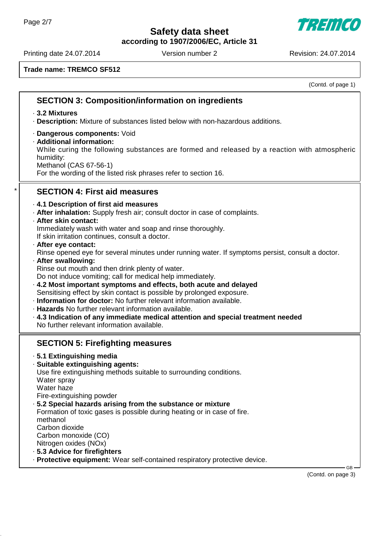**according to 1907/2006/EC, Article 31**

Printing date 24.07.2014 Version number 2 Revision: 24.07.2014

7777777

**Trade name: TREMCO SF512**

(Contd. of page 1)

#### **SECTION 3: Composition/information on ingredients** · **3.2 Mixtures** · **Description:** Mixture of substances listed below with non-hazardous additions. · **Dangerous components:** Void · **Additional information:** While curing the following substances are formed and released by a reaction with atmospheric humidity: Methanol (CAS 67-56-1) For the wording of the listed risk phrases refer to section 16. \* **SECTION 4: First aid measures** · **4.1 Description of first aid measures** · **After inhalation:** Supply fresh air; consult doctor in case of complaints. · **After skin contact:** Immediately wash with water and soap and rinse thoroughly. If skin irritation continues, consult a doctor. · **After eye contact:** Rinse opened eye for several minutes under running water. If symptoms persist, consult a doctor. · **After swallowing:** Rinse out mouth and then drink plenty of water. Do not induce vomiting; call for medical help immediately. · **4.2 Most important symptoms and effects, both acute and delayed** Sensitising effect by skin contact is possible by prolonged exposure. · **Information for doctor:** No further relevant information available. · **Hazards** No further relevant information available. · **4.3 Indication of any immediate medical attention and special treatment needed** No further relevant information available. **SECTION 5: Firefighting measures** · **5.1 Extinguishing media** · **Suitable extinguishing agents:** Use fire extinguishing methods suitable to surrounding conditions. Water spray Water haze Fire-extinguishing powder · **5.2 Special hazards arising from the substance or mixture** Formation of toxic gases is possible during heating or in case of fire. methanol Carbon dioxide Carbon monoxide (CO) Nitrogen oxides (NOx) · **5.3 Advice for firefighters** · **Protective equipment:** Wear self-contained respiratory protective device.

(Contd. on page 3)

GB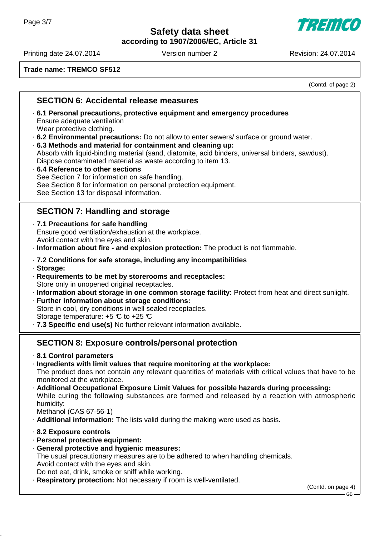**according to 1907/2006/EC, Article 31**

Printing date 24.07.2014 Version number 2 Revision: 24.07.2014

7777777

**Trade name: TREMCO SF512**

(Contd. of page 2)

### **SECTION 6: Accidental release measures**

- · **6.1 Personal precautions, protective equipment and emergency procedures** Ensure adequate ventilation Wear protective clothing.
- · **6.2 Environmental precautions:** Do not allow to enter sewers/ surface or ground water.

· **6.3 Methods and material for containment and cleaning up:** Absorb with liquid-binding material (sand, diatomite, acid binders, universal binders, sawdust). Dispose contaminated material as waste according to item 13.

· **6.4 Reference to other sections** See Section 7 for information on safe handling. See Section 8 for information on personal protection equipment. See Section 13 for disposal information.

# **SECTION 7: Handling and storage**

- · **7.1 Precautions for safe handling** Ensure good ventilation/exhaustion at the workplace. Avoid contact with the eyes and skin.
- · **Information about fire and explosion protection:** The product is not flammable.
- · **7.2 Conditions for safe storage, including any incompatibilities**
- · **Storage:**
- · **Requirements to be met by storerooms and receptacles:** Store only in unopened original receptacles.
- · **Information about storage in one common storage facility:** Protect from heat and direct sunlight.
- · **Further information about storage conditions:** Store in cool, dry conditions in well sealed receptacles. Storage temperature:  $+5$  °C to  $+25$  °C
- · **7.3 Specific end use(s)** No further relevant information available.

# **SECTION 8: Exposure controls/personal protection**

- · **8.1 Control parameters**
- · **Ingredients with limit values that require monitoring at the workplace:** The product does not contain any relevant quantities of materials with critical values that have to be monitored at the workplace.
- · **Additional Occupational Exposure Limit Values for possible hazards during processing:** While curing the following substances are formed and released by a reaction with atmospheric humidity:

Methanol (CAS 67-56-1)

- · **Additional information:** The lists valid during the making were used as basis.
- · **8.2 Exposure controls**
- · **Personal protective equipment:**
- · **General protective and hygienic measures:** The usual precautionary measures are to be adhered to when handling chemicals. Avoid contact with the eyes and skin. Do not eat, drink, smoke or sniff while working.
- **Respiratory protection:** Not necessary if room is well-ventilated.

(Contd. on page 4)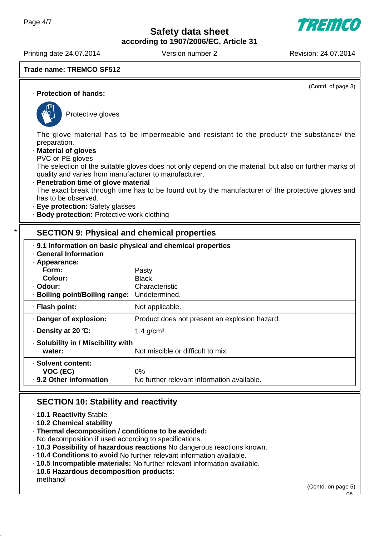**according to 1907/2006/EC, Article 31**

Printing date 24.07.2014 Version number 2 Revision: 24.07.2014

**Trade name: TREMCO SF512**

(Contd. of page 3)

· **Protection of hands:**



Protective gloves

The glove material has to be impermeable and resistant to the product/ the substance/ the preparation.

- · **Material of gloves**
- PVC or PE gloves

The selection of the suitable gloves does not only depend on the material, but also on further marks of quality and varies from manufacturer to manufacturer.

· **Penetration time of glove material**

The exact break through time has to be found out by the manufacturer of the protective gloves and has to be observed.

- · **Eye protection:** Safety glasses
- · **Body protection:** Protective work clothing

# **SECTION 9: Physical and chemical properties**

| . 9.1 Information on basic physical and chemical properties<br>· General Information<br>$\cdot$ Appearance: |                                               |  |
|-------------------------------------------------------------------------------------------------------------|-----------------------------------------------|--|
| Form:                                                                                                       | Pasty                                         |  |
| Colour:                                                                                                     | <b>Black</b>                                  |  |
| · Odour:                                                                                                    | Characteristic                                |  |
| · Boiling point/Boiling range:                                                                              | Undetermined.                                 |  |
| · Flash point:                                                                                              | Not applicable.                               |  |
| · Danger of explosion:                                                                                      | Product does not present an explosion hazard. |  |
| $\cdot$ Density at 20 °C:                                                                                   | 1.4 $g/cm3$                                   |  |
| · Solubility in / Miscibility with                                                                          |                                               |  |
| water:                                                                                                      | Not miscible or difficult to mix.             |  |
| · Solvent content:                                                                                          |                                               |  |
| VOC (EC)                                                                                                    | $0\%$                                         |  |
| · 9.2 Other information                                                                                     | No further relevant information available.    |  |

# **SECTION 10: Stability and reactivity**

- · **10.1 Reactivity** Stable
- · **10.2 Chemical stability**
- · **Thermal decomposition / conditions to be avoided:**

No decomposition if used according to specifications.

- · **10.3 Possibility of hazardous reactions** No dangerous reactions known.
- · **10.4 Conditions to avoid** No further relevant information available.
- · **10.5 Incompatible materials:** No further relevant information available.
- · **10.6 Hazardous decomposition products:** methanol

(Contd. on page 5)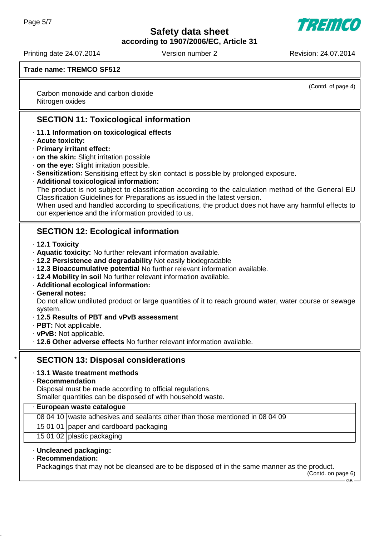**according to 1907/2006/EC, Article 31**

Printing date 24.07.2014 Version number 2 Revision: 24.07.2014

7777111

(Contd. of page 4)

**Trade name: TREMCO SF512**

Carbon monoxide and carbon dioxide Nitrogen oxides

# **SECTION 11: Toxicological information**

- · **11.1 Information on toxicological effects**
- · **Acute toxicity:**
- · **Primary irritant effect:**
- · **on the skin:** Slight irritation possible
- · **on the eye:** Slight irritation possible.
- · **Sensitization:** Sensitising effect by skin contact is possible by prolonged exposure.
- · **Additional toxicological information:**

The product is not subject to classification according to the calculation method of the General EU Classification Guidelines for Preparations as issued in the latest version.

When used and handled according to specifications, the product does not have any harmful effects to our experience and the information provided to us.

# **SECTION 12: Ecological information**

- · **12.1 Toxicity**
- · **Aquatic toxicity:** No further relevant information available.
- · **12.2 Persistence and degradability** Not easily biodegradable
- · **12.3 Bioaccumulative potential** No further relevant information available.
- · **12.4 Mobility in soil** No further relevant information available.
- · **Additional ecological information:**
- · **General notes:**

Do not allow undiluted product or large quantities of it to reach ground water, water course or sewage system.

- · **12.5 Results of PBT and vPvB assessment**
- · **PBT:** Not applicable.
- · **vPvB:** Not applicable.
- · **12.6 Other adverse effects** No further relevant information available.

# **SECTION 13: Disposal considerations**

- · **13.1 Waste treatment methods**
- · **Recommendation**

Disposal must be made according to official regulations.

Smaller quantities can be disposed of with household waste.

#### · **European waste catalogue**

08 04 10 waste adhesives and sealants other than those mentioned in 08 04 09

- 15 01 01 paper and cardboard packaging
- 15 01 02 plastic packaging
- · **Uncleaned packaging:**
- · **Recommendation:**

Packagings that may not be cleansed are to be disposed of in the same manner as the product.

(Contd. on page 6)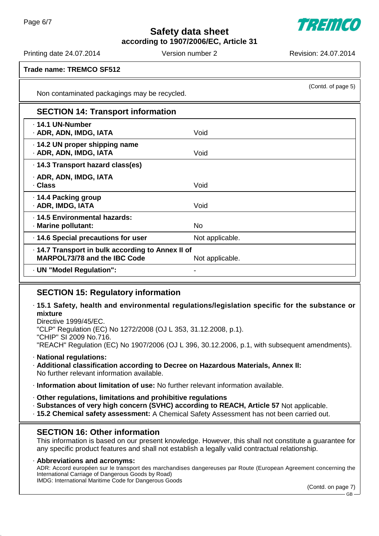777111

**according to 1907/2006/EC, Article 31**

Printing date 24.07.2014 Version number 2 Revision: 24.07.2014

(Contd. of page 5)

**Trade name: TREMCO SF512**

Non contaminated packagings may be recycled.

| <b>SECTION 14: Transport information</b>                                          |                 |  |
|-----------------------------------------------------------------------------------|-----------------|--|
| · 14.1 UN-Number<br>· ADR, ADN, IMDG, IATA                                        | Void            |  |
| .14.2 UN proper shipping name<br>· ADR, ADN, IMDG, IATA                           | Void            |  |
| · 14.3 Transport hazard class(es)                                                 |                 |  |
| · ADR, ADN, IMDG, IATA<br>· Class                                                 | Void            |  |
| ⋅ 14.4 Packing group<br>· ADR, IMDG, IATA                                         | Void            |  |
| · 14.5 Environmental hazards:<br>· Marine pollutant:                              | No.             |  |
| · 14.6 Special precautions for user                                               | Not applicable. |  |
| . 14.7 Transport in bulk according to Annex II of<br>MARPOL73/78 and the IBC Code | Not applicable. |  |
| · UN "Model Regulation":                                                          |                 |  |

# **SECTION 15: Regulatory information**

· **15.1 Safety, health and environmental regulations/legislation specific for the substance or mixture**

Directive 1999/45/EC. "CLP" Regulation (EC) No 1272/2008 (OJ L 353, 31.12.2008, p.1). "CHIP" SI 2009 No.716. "REACH" Regulation (EC) No 1907/2006 (OJ L 396, 30.12.2006, p.1, with subsequent amendments).

#### · **National regulations:**

- · **Additional classification according to Decree on Hazardous Materials, Annex II:** No further relevant information available.
- · **Information about limitation of use:** No further relevant information available.
- · **Other regulations, limitations and prohibitive regulations**
- · **Substances of very high concern (SVHC) according to REACH, Article 57** Not applicable.
- · **15.2 Chemical safety assessment:** A Chemical Safety Assessment has not been carried out.

# **SECTION 16: Other information**

This information is based on our present knowledge. However, this shall not constitute a guarantee for any specific product features and shall not establish a legally valid contractual relationship.

· **Abbreviations and acronyms:** ADR: Accord européen sur le transport des marchandises dangereuses par Route (European Agreement concerning the International Carriage of Dangerous Goods by Road) IMDG: International Maritime Code for Dangerous Goods

(Contd. on page 7)